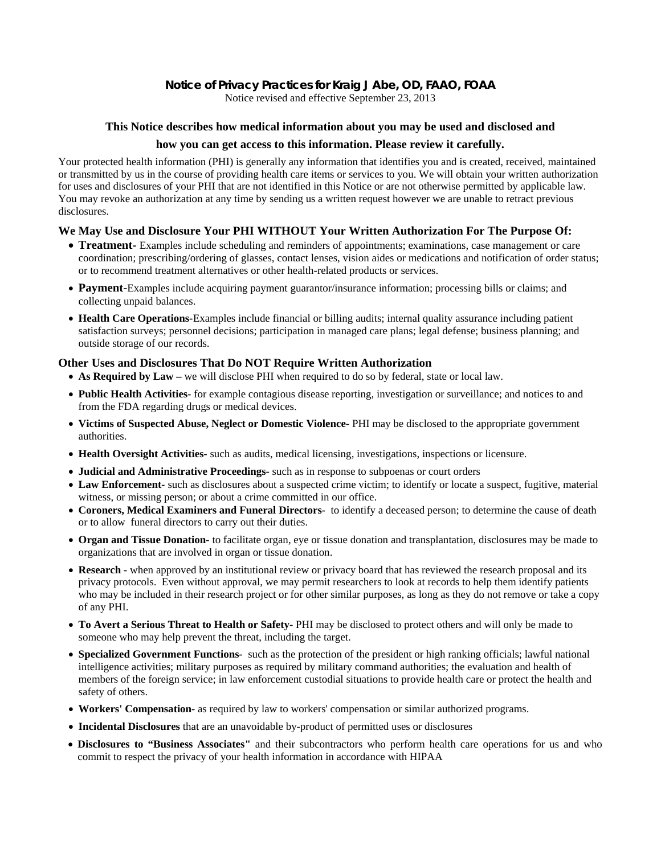# **Notice of Privacy Practices for Kraig J Abe, OD, FAAO, FOAA**

Notice revised and effective September 23, 2013

## **This Notice describes how medical information about you may be used and disclosed and**

#### **how you can get access to this information. Please review it carefully.**

Your protected health information (PHI) is generally any information that identifies you and is created, received, maintained or transmitted by us in the course of providing health care items or services to you. We will obtain your written authorization for uses and disclosures of your PHI that are not identified in this Notice or are not otherwise permitted by applicable law. You may revoke an authorization at any time by sending us a written request however we are unable to retract previous disclosures.

## **We May Use and Disclosure Your PHI WITHOUT Your Written Authorization For The Purpose Of:**

- **Treatment-** Examples include scheduling and reminders of appointments; examinations, case management or care coordination; prescribing/ordering of glasses, contact lenses, vision aides or medications and notification of order status; or to recommend treatment alternatives or other health-related products or services.
- **Payment-**Examples include acquiring payment guarantor/insurance information; processing bills or claims; and collecting unpaid balances.
- **Health Care Operations-**Examples include financial or billing audits; internal quality assurance including patient satisfaction surveys; personnel decisions; participation in managed care plans; legal defense; business planning; and outside storage of our records.

## **Other Uses and Disclosures That Do NOT Require Written Authorization**

- As Required by Law we will disclose PHI when required to do so by federal, state or local law.
- **Public Health Activities***-* for example contagious disease reporting, investigation or surveillance; and notices to and from the FDA regarding drugs or medical devices.
- **Victims of Suspected Abuse, Neglect or Domestic Violence-** PHI may be disclosed to the appropriate government authorities.
- **Health Oversight Activities***-* such as audits, medical licensing, investigations, inspections or licensure.
- **Judicial and Administrative Proceedings-** such as in response to subpoenas or court orders
- **Law Enforcement***-* such as disclosures about a suspected crime victim; to identify or locate a suspect, fugitive, material witness, or missing person; or about a crime committed in our office.
- **Coroners, Medical Examiners and Funeral Directors**to identify a deceased person; to determine the cause of death or to allow funeral directors to carry out their duties.
- **Organ and Tissue Donation***-* to facilitate organ, eye or tissue donation and transplantation, disclosures may be made to organizations that are involved in organ or tissue donation.
- **Research**when approved by an institutional review or privacy board that has reviewed the research proposal and its privacy protocols. Even without approval, we may permit researchers to look at records to help them identify patients who may be included in their research project or for other similar purposes, as long as they do not remove or take a copy of any PHI.
- **To Avert a Serious Threat to Health or Safety-** PHI may be disclosed to protect others and will only be made to someone who may help prevent the threat, including the target.
- **Specialized Government Functions**such as the protection of the president or high ranking officials; lawful national intelligence activities; military purposes as required by military command authorities; the evaluation and health of members of the foreign service; in law enforcement custodial situations to provide health care or protect the health and safety of others.
- **Workers' Compensation***-* as required by law to workers' compensation or similar authorized programs.
- **Incidental Disclosures** that are an unavoidable by-product of permitted uses or disclosures
- **Disclosures to "Business Associates"** and their subcontractors who perform health care operations for us and who commit to respect the privacy of your health information in accordance with HIPAA